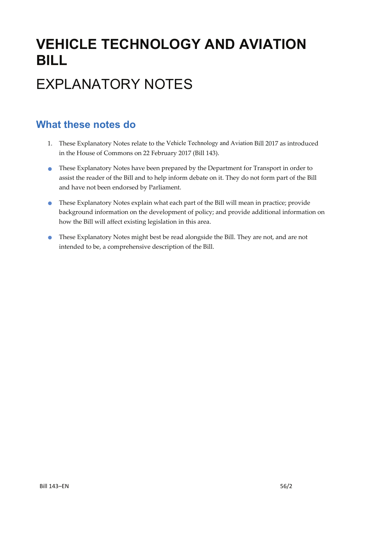# **VEHICLE TECHNOLOGY AND AVIATION BILL**

# EXPLANATORY NOTES

### **What these notes do**

- 1. These Explanatory Notes relate to the Vehicle Technology and Aviation Bill 2017 as introduced in the House of Commons on 22 February 2017 (Bill 143).
- These Explanatory Notes have been prepared by the Department for Transport in order to assist the reader of the Bill and to help inform debate on it. They do not form part of the Bill and have not been endorsed by Parliament.
- These Explanatory Notes explain what each part of the Bill will mean in practice; provide background information on the development of policy; and provide additional information on how the Bill will affect existing legislation in this area.
- These Explanatory Notes might best be read alongside the Bill. They are not, and are not intended to be, a comprehensive description of the Bill.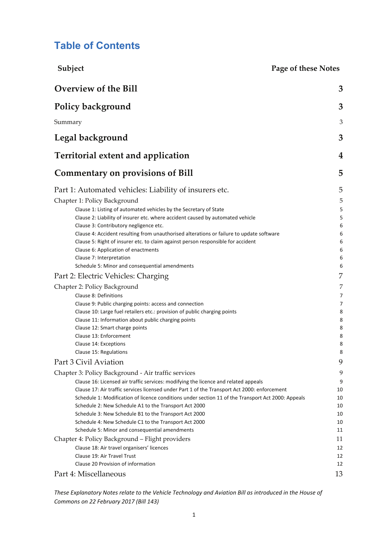### **Table of Contents**

| Subject                                                                                                                                                                                                                                                                                                                                                                                                                                                                                                                                                                                                                                                                                                                                                                                                                                                                                                                                                                          | <b>Page of these Notes</b>                                                                  |
|----------------------------------------------------------------------------------------------------------------------------------------------------------------------------------------------------------------------------------------------------------------------------------------------------------------------------------------------------------------------------------------------------------------------------------------------------------------------------------------------------------------------------------------------------------------------------------------------------------------------------------------------------------------------------------------------------------------------------------------------------------------------------------------------------------------------------------------------------------------------------------------------------------------------------------------------------------------------------------|---------------------------------------------------------------------------------------------|
| <b>Overview of the Bill</b>                                                                                                                                                                                                                                                                                                                                                                                                                                                                                                                                                                                                                                                                                                                                                                                                                                                                                                                                                      | 3                                                                                           |
| Policy background                                                                                                                                                                                                                                                                                                                                                                                                                                                                                                                                                                                                                                                                                                                                                                                                                                                                                                                                                                | 3                                                                                           |
| Summary                                                                                                                                                                                                                                                                                                                                                                                                                                                                                                                                                                                                                                                                                                                                                                                                                                                                                                                                                                          | 3                                                                                           |
| Legal background                                                                                                                                                                                                                                                                                                                                                                                                                                                                                                                                                                                                                                                                                                                                                                                                                                                                                                                                                                 | 3                                                                                           |
| Territorial extent and application                                                                                                                                                                                                                                                                                                                                                                                                                                                                                                                                                                                                                                                                                                                                                                                                                                                                                                                                               | 4                                                                                           |
| <b>Commentary on provisions of Bill</b>                                                                                                                                                                                                                                                                                                                                                                                                                                                                                                                                                                                                                                                                                                                                                                                                                                                                                                                                          | 5                                                                                           |
| Part 1: Automated vehicles: Liability of insurers etc.<br>Chapter 1: Policy Background<br>Clause 1: Listing of automated vehicles by the Secretary of State<br>Clause 2: Liability of insurer etc. where accident caused by automated vehicle<br>Clause 3: Contributory negligence etc.<br>Clause 4: Accident resulting from unauthorised alterations or failure to update software<br>Clause 5: Right of insurer etc. to claim against person responsible for accident<br>Clause 6: Application of enactments<br>Clause 7: Interpretation<br>Schedule 5: Minor and consequential amendments<br>Part 2: Electric Vehicles: Charging<br>Chapter 2: Policy Background<br>Clause 8: Definitions<br>Clause 9: Public charging points: access and connection<br>Clause 10: Large fuel retailers etc.: provision of public charging points<br>Clause 11: Information about public charging points<br>Clause 12: Smart charge points<br>Clause 13: Enforcement<br>Clause 14: Exceptions | 5<br>5<br>5<br>5<br>6<br>6<br>6<br>6<br>6<br>6<br>7<br>7<br>7<br>7<br>8<br>8<br>8<br>8<br>8 |
| Clause 15: Regulations<br>Part 3 Civil Aviation                                                                                                                                                                                                                                                                                                                                                                                                                                                                                                                                                                                                                                                                                                                                                                                                                                                                                                                                  | 8<br>9                                                                                      |
| Chapter 3: Policy Background - Air traffic services<br>Clause 16: Licensed air traffic services: modifying the licence and related appeals<br>Clause 17: Air traffic services licensed under Part 1 of the Transport Act 2000: enforcement<br>Schedule 1: Modification of licence conditions under section 11 of the Transport Act 2000: Appeals<br>Schedule 2: New Schedule A1 to the Transport Act 2000<br>Schedule 3: New Schedule B1 to the Transport Act 2000<br>Schedule 4: New Schedule C1 to the Transport Act 2000<br>Schedule 5: Minor and consequential amendments                                                                                                                                                                                                                                                                                                                                                                                                    | 9<br>9<br>10<br>10<br>10<br>10<br>10<br>11                                                  |
| Chapter 4: Policy Background - Flight providers<br>Clause 18: Air travel organisers' licences<br>Clause 19: Air Travel Trust<br>Clause 20 Provision of information<br>Part 4: Miscellaneous                                                                                                                                                                                                                                                                                                                                                                                                                                                                                                                                                                                                                                                                                                                                                                                      | 11<br>12<br>12<br>12<br>13                                                                  |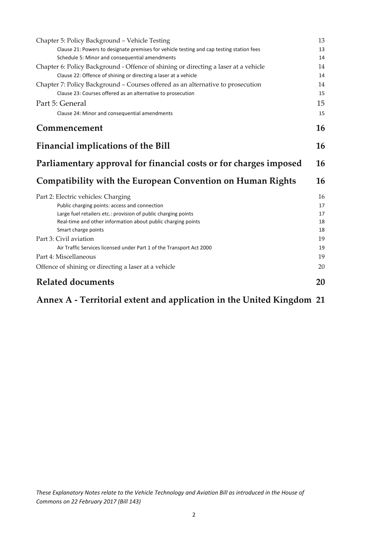| Chapter 5: Policy Background - Vehicle Testing                                           | 13 |
|------------------------------------------------------------------------------------------|----|
| Clause 21: Powers to designate premises for vehicle testing and cap testing station fees | 13 |
| Schedule 5: Minor and consequential amendments                                           | 14 |
| Chapter 6: Policy Background - Offence of shining or directing a laser at a vehicle      | 14 |
| Clause 22: Offence of shining or directing a laser at a vehicle                          | 14 |
| Chapter 7: Policy Background – Courses offered as an alternative to prosecution          | 14 |
| Clause 23: Courses offered as an alternative to prosecution                              | 15 |
| Part 5: General                                                                          | 15 |
| Clause 24: Minor and consequential amendments                                            | 15 |
| Commencement                                                                             | 16 |
| <b>Financial implications of the Bill</b>                                                | 16 |
| Parliamentary approval for financial costs or for charges imposed                        | 16 |
|                                                                                          |    |
| <b>Compatibility with the European Convention on Human Rights</b>                        | 16 |
| Part 2: Electric vehicles: Charging                                                      | 16 |
| Public charging points: access and connection                                            | 17 |
| Large fuel retailers etc.: provision of public charging points                           | 17 |
| Real-time and other information about public charging points                             | 18 |
| Smart charge points                                                                      | 18 |
| Part 3: Civil aviation                                                                   | 19 |
| Air Traffic Services licensed under Part 1 of the Transport Act 2000                     | 19 |
| Part 4: Miscellaneous                                                                    | 19 |
| Offence of shining or directing a laser at a vehicle                                     | 20 |

## **Annex A ‐ Territorial extent and application in the United Kingdom 21**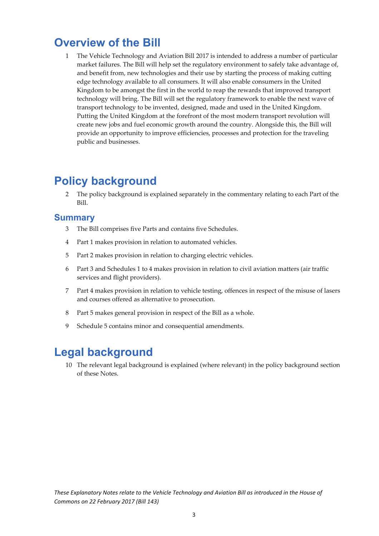## **Overview of the Bill**

1 The Vehicle Technology and Aviation Bill 2017 is intended to address a number of particular market failures. The Bill will help set the regulatory environment to safely take advantage of, and benefit from, new technologies and their use by starting the process of making cutting edge technology available to all consumers. It will also enable consumers in the United Kingdom to be amongst the first in the world to reap the rewards that improved transport technology will bring. The Bill will set the regulatory framework to enable the next wave of transport technology to be invented, designed, made and used in the United Kingdom. Putting the United Kingdom at the forefront of the most modern transport revolution will create new jobs and fuel economic growth around the country. Alongside this, the Bill will provide an opportunity to improve efficiencies, processes and protection for the traveling public and businesses.

## **Policy background**

2 The policy background is explained separately in the commentary relating to each Part of the Bill.

#### **Summary**

- 3 The Bill comprises five Parts and contains five Schedules.
- 4 Part 1 makes provision in relation to automated vehicles.
- 5 Part 2 makes provision in relation to charging electric vehicles.
- 6 Part 3 and Schedules 1 to 4 makes provision in relation to civil aviation matters (air traffic services and flight providers).
- 7 Part 4 makes provision in relation to vehicle testing, offences in respect of the misuse of lasers and courses offered as alternative to prosecution.
- 8 Part 5 makes general provision in respect of the Bill as a whole.
- 9 Schedule 5 contains minor and consequential amendments.

## **Legal background**

10 The relevant legal background is explained (where relevant) in the policy background section of these Notes.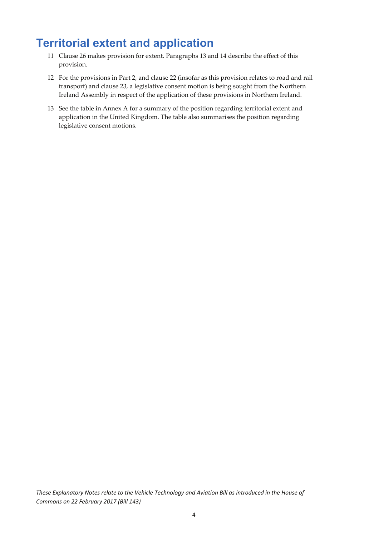## **Territorial extent and application**

- 11 Clause 26 makes provision for extent. Paragraphs 13 and 14 describe the effect of this provision.
- 12 For the provisions in Part 2, and clause 22 (insofar as this provision relates to road and rail transport) and clause 23, a legislative consent motion is being sought from the Northern Ireland Assembly in respect of the application of these provisions in Northern Ireland.
- 13 See the table in Annex A for a summary of the position regarding territorial extent and application in the United Kingdom. The table also summarises the position regarding legislative consent motions.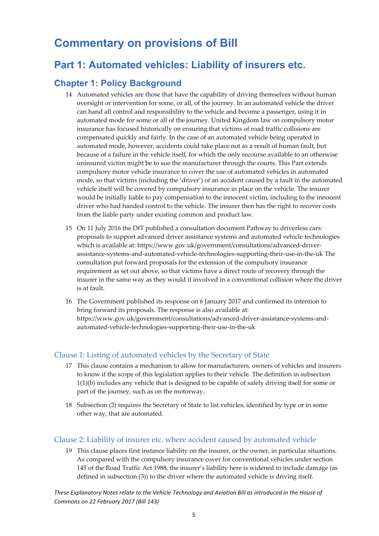## **Commentary on provisions of Bill**

### **Part 1: Automated vehicles: Liability of insurers etc.**

#### **Chapter 1: Policy Background**

- 14 Automated vehicles are those that have the capability of driving themselves without human oversight or intervention for some, or all, of the journey. In an automated vehicle the driver can hand all control and responsibility to the vehicle and become a passenger, using it in automated mode for some or all of the journey. United Kingdom law on compulsory motor insurance has focused historically on ensuring that victims of road traffic collisions are compensated quickly and fairly. In the case of an automated vehicle being operated in automated mode, however, accidents could take place not as a result of human fault, but because of a failure in the vehicle itself, for which the only recourse available to an otherwise uninsured victim might be to sue the manufacturer through the courts. This Part extends compulsory motor vehicle insurance to cover the use of automated vehicles in automated mode, so that victims (including the 'driver') of an accident caused by a fault in the automated vehicle itself will be covered by compulsory insurance in place on the vehicle. The insurer would be initially liable to pay compensation to the innocent victim, including to the innocent driver who had handed control to the vehicle. The insurer then has the right to recover costs from the liable party under existing common and product law.
- 15 On 11 July 2016 the DfT published a consultation document Pathway to driverless cars: proposals to support advanced driver assistance systems and automated vehicle technologies which is available at: https://www.gov.uk/government/consultations/advanced‐driver‐ assistance‐systems‐and‐automated‐vehicle‐technologies‐supporting‐their‐use‐in‐the‐uk The consultation put forward proposals for the extension of the compulsory insurance requirement as set out above, so that victims have a direct route of recovery through the insurer in the same way as they would if involved in a conventional collision where the driver is at fault.
- 16 The Government published its response on 6 January 2017 and confirmed its intention to bring forward its proposals. The response is also available at: https://www.gov.uk/government/consultations/advanced‐driver‐assistance‐systems‐and‐ automated‐vehicle‐technologies‐supporting‐their‐use‐in‐the‐uk

#### Clause 1: Listing of automated vehicles by the Secretary of State

- 17 This clause contains a mechanism to allow for manufacturers, owners of vehicles and insurers to know if the scope of this legislation applies to their vehicle. The definition in subsection 1(1)(b) includes any vehicle that is designed to be capable of safely driving itself for some or part of the journey, such as on the motorway.
- 18 Subsection (2) requires the Secretary of State to list vehicles, identified by type or in some other way, that are automated.

#### Clause 2: Liability of insurer etc. where accident caused by automated vehicle

19 This clause places first instance liability on the insurer, or the owner, in particular situations. As compared with the compulsory insurance cover for conventional vehicles under section 145 of the Road Traffic Act 1988, the insurer's liability here is widened to include damage (as defined in subsection (3)) to the driver where the automated vehicle is driving itself.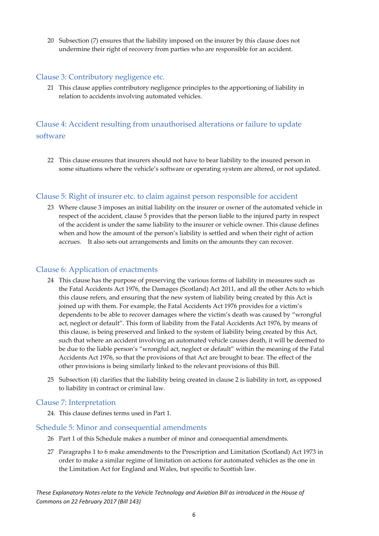20 Subsection (7) ensures that the liability imposed on the insurer by this clause does not undermine their right of recovery from parties who are responsible for an accident.

#### Clause 3: Contributory negligence etc.

21 This clause applies contributory negligence principles to the apportioning of liability in relation to accidents involving automated vehicles.

#### Clause 4: Accident resulting from unauthorised alterations or failure to update software

22 This clause ensures that insurers should not have to bear liability to the insured person in some situations where the vehicle's software or operating system are altered, or not updated.

#### Clause 5: Right of insurer etc. to claim against person responsible for accident

23 Where clause 3 imposes an initial liability on the insurer or owner of the automated vehicle in respect of the accident, clause 5 provides that the person liable to the injured party in respect of the accident is under the same liability to the insurer or vehicle owner. This clause defines when and how the amount of the person's liability is settled and when their right of action accrues. It also sets out arrangements and limits on the amounts they can recover.

#### Clause 6: Application of enactments

- 24 This clause has the purpose of preserving the various forms of liability in measures such as the Fatal Accidents Act 1976, the Damages (Scotland) Act 2011, and all the other Acts to which this clause refers, and ensuring that the new system of liability being created by this Act is joined up with them. For example, the Fatal Accidents Act 1976 provides for a victim's dependents to be able to recover damages where the victim's death was caused by "wrongful act, neglect or default". This form of liability from the Fatal Accidents Act 1976, by means of this clause, is being preserved and linked to the system of liability being created by this Act, such that where an accident involving an automated vehicle causes death, it will be deemed to be due to the liable person's "wrongful act, neglect or default" within the meaning of the Fatal Accidents Act 1976, so that the provisions of that Act are brought to bear. The effect of the other provisions is being similarly linked to the relevant provisions of this Bill.
- 25 Subsection (4) clarifies that the liability being created in clause 2 is liability in tort, as opposed to liability in contract or criminal law.

#### Clause 7: Interpretation

24. This clause defines terms used in Part 1.

#### Schedule 5: Minor and consequential amendments

- 26 Part 1 of this Schedule makes a number of minor and consequential amendments.
- 27 Paragraphs 1 to 6 make amendments to the Prescription and Limitation (Scotland) Act 1973 in order to make a similar regime of limitation on actions for automated vehicles as the one in the Limitation Act for England and Wales, but specific to Scottish law.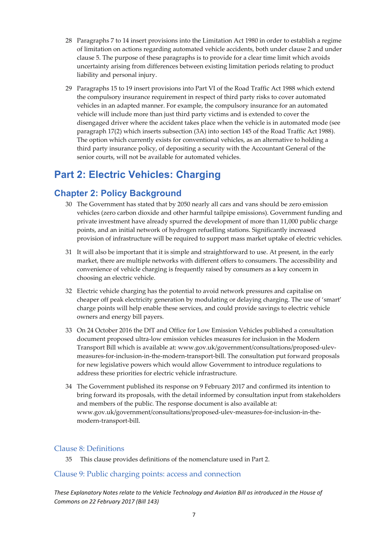- 28 Paragraphs 7 to 14 insert provisions into the Limitation Act 1980 in order to establish a regime of limitation on actions regarding automated vehicle accidents, both under clause 2 and under clause 5. The purpose of these paragraphs is to provide for a clear time limit which avoids uncertainty arising from differences between existing limitation periods relating to product liability and personal injury.
- 29 Paragraphs 15 to 19 insert provisions into Part VI of the Road Traffic Act 1988 which extend the compulsory insurance requirement in respect of third party risks to cover automated vehicles in an adapted manner. For example, the compulsory insurance for an automated vehicle will include more than just third party victims and is extended to cover the disengaged driver where the accident takes place when the vehicle is in automated mode (see paragraph 17(2) which inserts subsection (3A) into section 145 of the Road Traffic Act 1988). The option which currently exists for conventional vehicles, as an alternative to holding a third party insurance policy, of depositing a security with the Accountant General of the senior courts, will not be available for automated vehicles.

## **Part 2: Electric Vehicles: Charging**

#### **Chapter 2: Policy Background**

- 30 The Government has stated that by 2050 nearly all cars and vans should be zero emission vehicles (zero carbon dioxide and other harmful tailpipe emissions). Government funding and private investment have already spurred the development of more than 11,000 public charge points, and an initial network of hydrogen refuelling stations. Significantly increased provision of infrastructure will be required to support mass market uptake of electric vehicles.
- 31 It will also be important that it is simple and straightforward to use. At present, in the early market, there are multiple networks with different offers to consumers. The accessibility and convenience of vehicle charging is frequently raised by consumers as a key concern in choosing an electric vehicle.
- 32 Electric vehicle charging has the potential to avoid network pressures and capitalise on cheaper off peak electricity generation by modulating or delaying charging. The use of 'smart' charge points will help enable these services, and could provide savings to electric vehicle owners and energy bill payers.
- 33 On 24 October 2016 the DfT and Office for Low Emission Vehicles published a consultation document proposed ultra‐low emission vehicles measures for inclusion in the Modern Transport Bill which is available at: www.gov.uk/government/consultations/proposed‐ulev‐ measures‐for‐inclusion‐in‐the‐modern‐transport‐bill. The consultation put forward proposals for new legislative powers which would allow Government to introduce regulations to address these priorities for electric vehicle infrastructure.
- 34 The Government published its response on 9 February 2017 and confirmed its intention to bring forward its proposals, with the detail informed by consultation input from stakeholders and members of the public. The response document is also available at: www.gov.uk/government/consultations/proposed‐ulev‐measures‐for‐inclusion‐in‐the‐ modern‐transport‐bill.

#### Clause 8: Definitions

35 This clause provides definitions of the nomenclature used in Part 2.

#### Clause 9: Public charging points: access and connection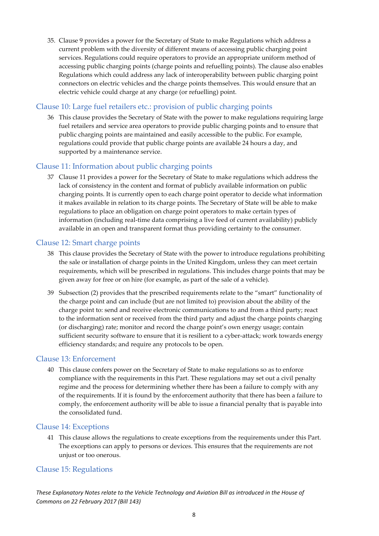35. Clause 9 provides a power for the Secretary of State to make Regulations which address a current problem with the diversity of different means of accessing public charging point services. Regulations could require operators to provide an appropriate uniform method of accessing public charging points (charge points and refuelling points). The clause also enables Regulations which could address any lack of interoperability between public charging point connectors on electric vehicles and the charge points themselves. This would ensure that an electric vehicle could charge at any charge (or refuelling) point.

#### Clause 10: Large fuel retailers etc.: provision of public charging points

36 This clause provides the Secretary of State with the power to make regulations requiring large fuel retailers and service area operators to provide public charging points and to ensure that public charging points are maintained and easily accessible to the public. For example, regulations could provide that public charge points are available 24 hours a day, and supported by a maintenance service.

#### Clause 11: Information about public charging points

37 Clause 11 provides a power for the Secretary of State to make regulations which address the lack of consistency in the content and format of publicly available information on public charging points. It is currently open to each charge point operator to decide what information it makes available in relation to its charge points. The Secretary of State will be able to make regulations to place an obligation on charge point operators to make certain types of information (including real‐time data comprising a live feed of current availability) publicly available in an open and transparent format thus providing certainty to the consumer.

#### Clause 12: Smart charge points

- 38 This clause provides the Secretary of State with the power to introduce regulations prohibiting the sale or installation of charge points in the United Kingdom, unless they can meet certain requirements, which will be prescribed in regulations. This includes charge points that may be given away for free or on hire (for example, as part of the sale of a vehicle).
- 39 Subsection (2) provides that the prescribed requirements relate to the "smart" functionality of the charge point and can include (but are not limited to) provision about the ability of the charge point to: send and receive electronic communications to and from a third party; react to the information sent or received from the third party and adjust the charge points charging (or discharging) rate; monitor and record the charge point's own energy usage; contain sufficient security software to ensure that it is resilient to a cyber-attack; work towards energy efficiency standards; and require any protocols to be open.

#### Clause 13: Enforcement

40 This clause confers power on the Secretary of State to make regulations so as to enforce compliance with the requirements in this Part. These regulations may set out a civil penalty regime and the process for determining whether there has been a failure to comply with any of the requirements. If it is found by the enforcement authority that there has been a failure to comply, the enforcement authority will be able to issue a financial penalty that is payable into the consolidated fund.

#### Clause 14: Exceptions

41 This clause allows the regulations to create exceptions from the requirements under this Part. The exceptions can apply to persons or devices. This ensures that the requirements are not unjust or too onerous.

#### Clause 15: Regulations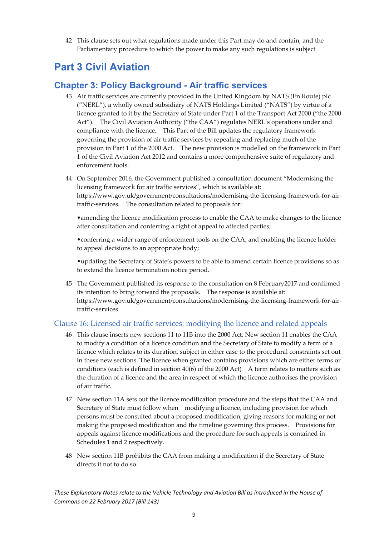42 This clause sets out what regulations made under this Part may do and contain, and the Parliamentary procedure to which the power to make any such regulations is subject

### **Part 3 Civil Aviation**

#### **Chapter 3: Policy Background - Air traffic services**

- 43 Air traffic services are currently provided in the United Kingdom by NATS (En Route) plc ("NERL"), a wholly owned subsidiary of NATS Holdings Limited ("NATS") by virtue of a licence granted to it by the Secretary of State under Part 1 of the Transport Act 2000 ("the 2000 Act"). The Civil Aviation Authority ("the CAA") regulates NERL's operations under and compliance with the licence. This Part of the Bill updates the regulatory framework governing the provision of air traffic services by repealing and replacing much of the provision in Part 1 of the 2000 Act. The new provision is modelled on the framework in Part 1 of the Civil Aviation Act 2012 and contains a more comprehensive suite of regulatory and enforcement tools.
- 44 On September 2016, the Government published a consultation document "Modernising the licensing framework for air traffic services", which is available at: https://www.gov.uk/government/consultations/modernising-the-licensing-framework-for-airtraffic-services. The consultation related to proposals for:

•amending the licence modification process to enable the CAA to make changes to the licence after consultation and conferring a right of appeal to affected parties;

•conferring a wider range of enforcement tools on the CAA, and enabling the licence holder to appeal decisions to an appropriate body;

•updating the Secretary of State's powers to be able to amend certain licence provisions so as to extend the licence termination notice period.

45 The Government published its response to the consultation on 8 February2017 and confirmed its intention to bring forward the proposals. The response is available at: https://www.gov.uk/government/consultations/modernising-the-licensing-framework-for-airtraffic‐services

#### Clause 16: Licensed air traffic services: modifying the licence and related appeals

- 46 This clause inserts new sections 11 to 11B into the 2000 Act. New section 11 enables the CAA to modify a condition of a licence condition and the Secretary of State to modify a term of a licence which relates to its duration, subject in either case to the procedural constraints set out in these new sections. The licence when granted contains provisions which are either terms or conditions (each is defined in section 40(6) of the 2000 Act) A term relates to matters such as the duration of a licence and the area in respect of which the licence authorises the provision of air traffic.
- 47 New section 11A sets out the licence modification procedure and the steps that the CAA and Secretary of State must follow when modifying a licence, including provision for which persons must be consulted about a proposed modification, giving reasons for making or not making the proposed modification and the timeline governing this process. Provisions for appeals against licence modifications and the procedure for such appeals is contained in Schedules 1 and 2 respectively.
- 48 New section 11B prohibits the CAA from making a modification if the Secretary of State directs it not to do so.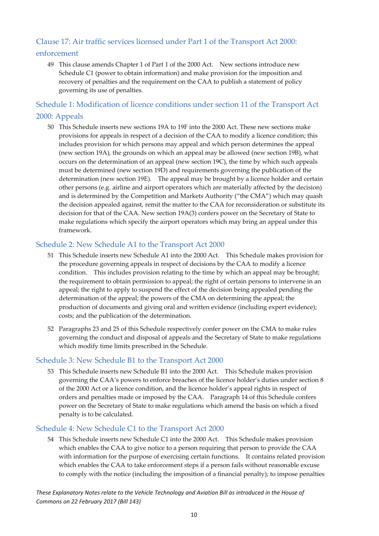#### Clause 17: Air traffic services licensed under Part 1 of the Transport Act 2000: enforcement

49 This clause amends Chapter 1 of Part 1 of the 2000 Act. New sections introduce new Schedule C1 (power to obtain information) and make provision for the imposition and recovery of penalties and the requirement on the CAA to publish a statement of policy governing its use of penalties.

#### Schedule 1: Modification of licence conditions under section 11 of the Transport Act 2000: Appeals

50 This Schedule inserts new sections 19A to 19F into the 2000 Act. These new sections make provisions for appeals in respect of a decision of the CAA to modify a licence condition; this includes provision for which persons may appeal and which person determines the appeal (new section 19A), the grounds on which an appeal may be allowed (new section 19B), what occurs on the determination of an appeal (new section 19C), the time by which such appeals must be determined (new section 19D) and requirements governing the publication of the determination (new section 19E). The appeal may be brought by a licence holder and certain other persons (e.g. airline and airport operators which are materially affected by the decision) and is determined by the Competition and Markets Authority ("the CMA") which may quash the decision appealed against, remit the matter to the CAA for reconsideration or substitute its decision for that of the CAA. New section 19A(3) confers power on the Secretary of State to make regulations which specify the airport operators which may bring an appeal under this framework.

#### Schedule 2: New Schedule A1 to the Transport Act 2000

- 51 This Schedule inserts new Schedule A1 into the 2000 Act. This Schedule makes provision for the procedure governing appeals in respect of decisions by the CAA to modify a licence condition. This includes provision relating to the time by which an appeal may be brought; the requirement to obtain permission to appeal; the right of certain persons to intervene in an appeal; the right to apply to suspend the effect of the decision being appealed pending the determination of the appeal; the powers of the CMA on determining the appeal; the production of documents and giving oral and written evidence (including expert evidence); costs; and the publication of the determination.
- 52 Paragraphs 23 and 25 of this Schedule respectively confer power on the CMA to make rules governing the conduct and disposal of appeals and the Secretary of State to make regulations which modify time limits prescribed in the Schedule.

#### Schedule 3: New Schedule B1 to the Transport Act 2000

53 This Schedule inserts new Schedule B1 into the 2000 Act. This Schedule makes provision governing the CAA's powers to enforce breaches of the licence holder's duties under section 8 of the 2000 Act or a licence condition, and the licence holder's appeal rights in respect of orders and penalties made or imposed by the CAA. Paragraph 14 of this Schedule confers power on the Secretary of State to make regulations which amend the basis on which a fixed penalty is to be calculated.

#### Schedule 4: New Schedule C1 to the Transport Act 2000

54 This Schedule inserts new Schedule C1 into the 2000 Act. This Schedule makes provision which enables the CAA to give notice to a person requiring that person to provide the CAA with information for the purpose of exercising certain functions. It contains related provision which enables the CAA to take enforcement steps if a person fails without reasonable excuse to comply with the notice (including the imposition of a financial penalty); to impose penalties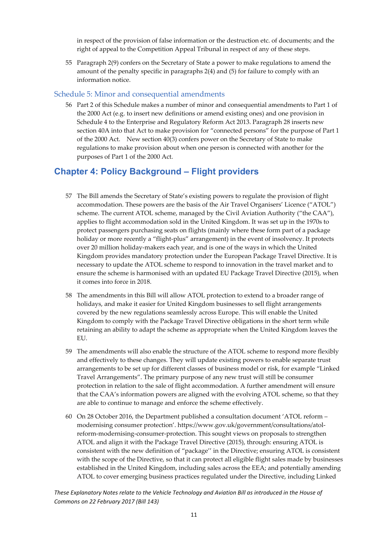in respect of the provision of false information or the destruction etc. of documents; and the right of appeal to the Competition Appeal Tribunal in respect of any of these steps.

55 Paragraph 2(9) confers on the Secretary of State a power to make regulations to amend the amount of the penalty specific in paragraphs 2(4) and (5) for failure to comply with an information notice.

#### Schedule 5: Minor and consequential amendments

56 Part 2 of this Schedule makes a number of minor and consequential amendments to Part 1 of the 2000 Act (e.g. to insert new definitions or amend existing ones) and one provision in Schedule 4 to the Enterprise and Regulatory Reform Act 2013. Paragraph 28 inserts new section 40A into that Act to make provision for "connected persons" for the purpose of Part 1 of the 2000 Act. New section 40(3) confers power on the Secretary of State to make regulations to make provision about when one person is connected with another for the purposes of Part 1 of the 2000 Act.

#### **Chapter 4: Policy Background – Flight providers**

- 57 The Bill amends the Secretary of State's existing powers to regulate the provision of flight accommodation. These powers are the basis of the Air Travel Organisers' Licence ("ATOL") scheme. The current ATOL scheme, managed by the Civil Aviation Authority ("the CAA"), applies to flight accommodation sold in the United Kingdom. It was set up in the 1970s to protect passengers purchasing seats on flights (mainly where these form part of a package holiday or more recently a "flight-plus" arrangement) in the event of insolvency. It protects over 20 million holiday‐makers each year, and is one of the ways in which the United Kingdom provides mandatory protection under the European Package Travel Directive. It is necessary to update the ATOL scheme to respond to innovation in the travel market and to ensure the scheme is harmonised with an updated EU Package Travel Directive (2015), when it comes into force in 2018.
- 58 The amendments in this Bill will allow ATOL protection to extend to a broader range of holidays, and make it easier for United Kingdom businesses to sell flight arrangements covered by the new regulations seamlessly across Europe. This will enable the United Kingdom to comply with the Package Travel Directive obligations in the short term while retaining an ability to adapt the scheme as appropriate when the United Kingdom leaves the EU.
- 59 The amendments will also enable the structure of the ATOL scheme to respond more flexibly and effectively to these changes. They will update existing powers to enable separate trust arrangements to be set up for different classes of business model or risk, for example "Linked Travel Arrangements". The primary purpose of any new trust will still be consumer protection in relation to the sale of flight accommodation. A further amendment will ensure that the CAA's information powers are aligned with the evolving ATOL scheme, so that they are able to continue to manage and enforce the scheme effectively.
- 60 On 28 October 2016, the Department published a consultation document 'ATOL reform modernising consumer protection'. https://www.gov.uk/government/consultations/atol‐ reform-modernising-consumer-protection. This sought views on proposals to strengthen ATOL and align it with the Package Travel Directive (2015), through: ensuring ATOL is consistent with the new definition of "package'' in the Directive; ensuring ATOL is consistent with the scope of the Directive, so that it can protect all eligible flight sales made by businesses established in the United Kingdom, including sales across the EEA; and potentially amending ATOL to cover emerging business practices regulated under the Directive, including Linked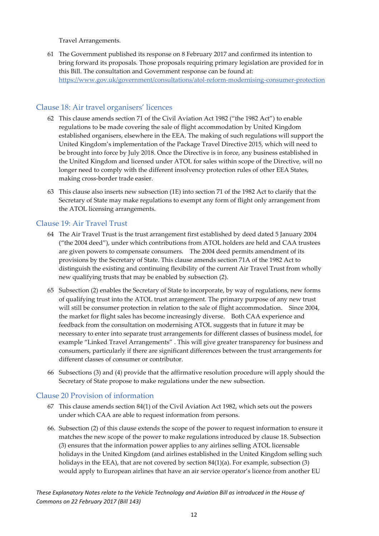Travel Arrangements.

61 The Government published its response on 8 February 2017 and confirmed its intention to bring forward its proposals. Those proposals requiring primary legislation are provided for in this Bill. The consultation and Government response can be found at: https://www.gov.uk/government/consultations/atol‐reform‐modernising‐consumer‐protection

#### Clause 18: Air travel organisers' licences

- 62 This clause amends section 71 of the Civil Aviation Act 1982 ("the 1982 Act") to enable regulations to be made covering the sale of flight accommodation by United Kingdom established organisers, elsewhere in the EEA. The making of such regulations will support the United Kingdom's implementation of the Package Travel Directive 2015, which will need to be brought into force by July 2018. Once the Directive is in force, any business established in the United Kingdom and licensed under ATOL for sales within scope of the Directive, will no longer need to comply with the different insolvency protection rules of other EEA States, making cross‐border trade easier.
- 63 This clause also inserts new subsection (1E) into section 71 of the 1982 Act to clarify that the Secretary of State may make regulations to exempt any form of flight only arrangement from the ATOL licensing arrangements.

#### Clause 19: Air Travel Trust

- 64 The Air Travel Trust is the trust arrangement first established by deed dated 5 January 2004 ("the 2004 deed"), under which contributions from ATOL holders are held and CAA trustees are given powers to compensate consumers. The 2004 deed permits amendment of its provisions by the Secretary of State. This clause amends section 71A of the 1982 Act to distinguish the existing and continuing flexibility of the current Air Travel Trust from wholly new qualifying trusts that may be enabled by subsection (2).
- 65 Subsection (2) enables the Secretary of State to incorporate, by way of regulations, new forms of qualifying trust into the ATOL trust arrangement. The primary purpose of any new trust will still be consumer protection in relation to the sale of flight accommodation. Since 2004, the market for flight sales has become increasingly diverse. Both CAA experience and feedback from the consultation on modernising ATOL suggests that in future it may be necessary to enter into separate trust arrangements for different classes of business model, for example "Linked Travel Arrangements" . This will give greater transparency for business and consumers, particularly if there are significant differences between the trust arrangements for different classes of consumer or contributor.
- 66 Subsections (3) and (4) provide that the affirmative resolution procedure will apply should the Secretary of State propose to make regulations under the new subsection.

#### Clause 20 Provision of information

- 67 This clause amends section 84(1) of the Civil Aviation Act 1982, which sets out the powers under which CAA are able to request information from persons.
- 66. Subsection (2) of this clause extends the scope of the power to request information to ensure it matches the new scope of the power to make regulations introduced by clause 18. Subsection (3) ensures that the information power applies to any airlines selling ATOL licensable holidays in the United Kingdom (and airlines established in the United Kingdom selling such holidays in the EEA), that are not covered by section 84(1)(a). For example, subsection (3) would apply to European airlines that have an air service operator's licence from another EU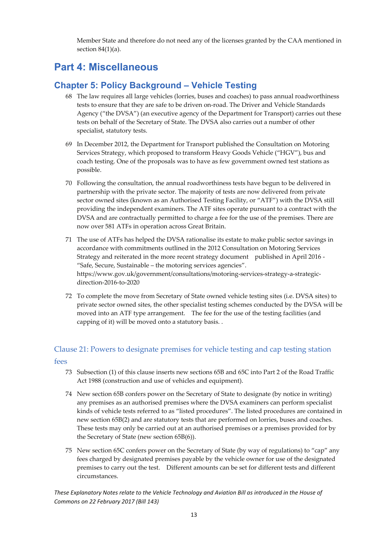Member State and therefore do not need any of the licenses granted by the CAA mentioned in section  $84(1)(a)$ .

### **Part 4: Miscellaneous**

#### **Chapter 5: Policy Background – Vehicle Testing**

- 68 The law requires all large vehicles (lorries, buses and coaches) to pass annual roadworthiness tests to ensure that they are safe to be driven on‐road. The Driver and Vehicle Standards Agency ("the DVSA") (an executive agency of the Department for Transport) carries out these tests on behalf of the Secretary of State. The DVSA also carries out a number of other specialist, statutory tests.
- 69 In December 2012, the Department for Transport published the Consultation on Motoring Services Strategy, which proposed to transform Heavy Goods Vehicle ("HGV"), bus and coach testing. One of the proposals was to have as few government owned test stations as possible.
- 70 Following the consultation, the annual roadworthiness tests have begun to be delivered in partnership with the private sector. The majority of tests are now delivered from private sector owned sites (known as an Authorised Testing Facility, or "ATF") with the DVSA still providing the independent examiners. The ATF sites operate pursuant to a contract with the DVSA and are contractually permitted to charge a fee for the use of the premises. There are now over 581 ATFs in operation across Great Britain.
- 71 The use of ATFs has helped the DVSA rationalise its estate to make public sector savings in accordance with commitments outlined in the 2012 Consultation on Motoring Services Strategy and reiterated in the more recent strategy document published in April 2016 ‐ "Safe, Secure, Sustainable – the motoring services agencies". https://www.gov.uk/government/consultations/motoring‐services‐strategy‐a‐strategic‐ direction‐2016‐to‐2020
- 72 To complete the move from Secretary of State owned vehicle testing sites (i.e. DVSA sites) to private sector owned sites, the other specialist testing schemes conducted by the DVSA will be moved into an ATF type arrangement. The fee for the use of the testing facilities (and capping of it) will be moved onto a statutory basis. .

#### Clause 21: Powers to designate premises for vehicle testing and cap testing station

#### fees

- 73 Subsection (1) of this clause inserts new sections 65B and 65C into Part 2 of the Road Traffic Act 1988 (construction and use of vehicles and equipment).
- 74 New section 65B confers power on the Secretary of State to designate (by notice in writing) any premises as an authorised premises where the DVSA examiners can perform specialist kinds of vehicle tests referred to as "listed procedures". The listed procedures are contained in new section 65B(2) and are statutory tests that are performed on lorries, buses and coaches. These tests may only be carried out at an authorised premises or a premises provided for by the Secretary of State (new section 65B(6)).
- 75 New section 65C confers power on the Secretary of State (by way of regulations) to "cap" any fees charged by designated premises payable by the vehicle owner for use of the designated premises to carry out the test. Different amounts can be set for different tests and different circumstances.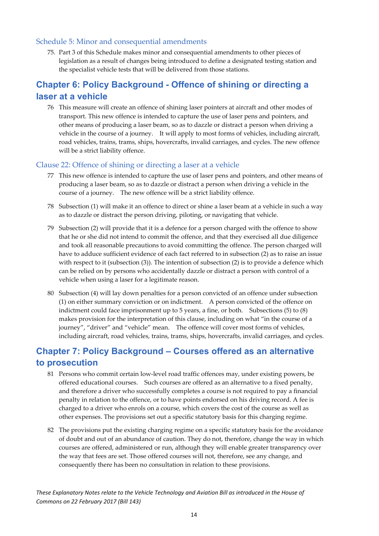#### Schedule 5: Minor and consequential amendments

75. Part 3 of this Schedule makes minor and consequential amendments to other pieces of legislation as a result of changes being introduced to define a designated testing station and the specialist vehicle tests that will be delivered from those stations.

#### **Chapter 6: Policy Background - Offence of shining or directing a laser at a vehicle**

76 This measure will create an offence of shining laser pointers at aircraft and other modes of transport. This new offence is intended to capture the use of laser pens and pointers, and other means of producing a laser beam, so as to dazzle or distract a person when driving a vehicle in the course of a journey. It will apply to most forms of vehicles, including aircraft, road vehicles, trains, trams, ships, hovercrafts, invalid carriages, and cycles. The new offence will be a strict liability offence.

#### Clause 22: Offence of shining or directing a laser at a vehicle

- 77 This new offence is intended to capture the use of laser pens and pointers, and other means of producing a laser beam, so as to dazzle or distract a person when driving a vehicle in the course of a journey. The new offence will be a strict liability offence.
- 78 Subsection (1) will make it an offence to direct or shine a laser beam at a vehicle in such a way as to dazzle or distract the person driving, piloting, or navigating that vehicle.
- 79 Subsection (2) will provide that it is a defence for a person charged with the offence to show that he or she did not intend to commit the offence, and that they exercised all due diligence and took all reasonable precautions to avoid committing the offence. The person charged will have to adduce sufficient evidence of each fact referred to in subsection (2) as to raise an issue with respect to it (subsection (3)). The intention of subsection (2) is to provide a defence which can be relied on by persons who accidentally dazzle or distract a person with control of a vehicle when using a laser for a legitimate reason.
- 80 Subsection (4) will lay down penalties for a person convicted of an offence under subsection (1) on either summary conviction or on indictment. A person convicted of the offence on indictment could face imprisonment up to 5 years, a fine, or both. Subsections (5) to (8) makes provision for the interpretation of this clause, including on what "in the course of a journey", "driver" and "vehicle" mean. The offence will cover most forms of vehicles, including aircraft, road vehicles, trains, trams, ships, hovercrafts, invalid carriages, and cycles.

#### **Chapter 7: Policy Background – Courses offered as an alternative to prosecution**

- 81 Persons who commit certain low-level road traffic offences may, under existing powers, be offered educational courses. Such courses are offered as an alternative to a fixed penalty, and therefore a driver who successfully completes a course is not required to pay a financial penalty in relation to the offence, or to have points endorsed on his driving record. A fee is charged to a driver who enrols on a course, which covers the cost of the course as well as other expenses. The provisions set out a specific statutory basis for this charging regime.
- 82 The provisions put the existing charging regime on a specific statutory basis for the avoidance of doubt and out of an abundance of caution. They do not, therefore, change the way in which courses are offered, administered or run, although they will enable greater transparency over the way that fees are set. Those offered courses will not, therefore, see any change, and consequently there has been no consultation in relation to these provisions.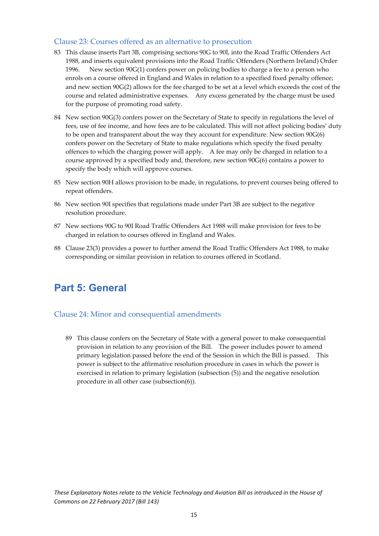#### Clause 23: Courses offered as an alternative to prosecution

- 83 This clause inserts Part 3B, comprising sections 90G to 90I, into the Road Traffic Offenders Act 1988, and inserts equivalent provisions into the Road Traffic Offenders (Northern Ireland) Order 1996. New section 90G(1) confers power on policing bodies to charge a fee to a person who enrols on a course offered in England and Wales in relation to a specified fixed penalty offence; and new section 90G(2) allows for the fee charged to be set at a level which exceeds the cost of the course and related administrative expenses. Any excess generated by the charge must be used for the purpose of promoting road safety.
- 84 New section 90G(3) confers power on the Secretary of State to specify in regulations the level of fees, use of fee income, and how fees are to be calculated. This will not affect policing bodies' duty to be open and transparent about the way they account for expenditure. New section 90G(6) confers power on the Secretary of State to make regulations which specify the fixed penalty offences to which the charging power will apply. A fee may only be charged in relation to a course approved by a specified body and, therefore, new section 90G(6) contains a power to specify the body which will approve courses.
- 85 New section 90H allows provision to be made, in regulations, to prevent courses being offered to repeat offenders.
- 86 New section 90I specifies that regulations made under Part 3B are subject to the negative resolution procedure.
- 87 New sections 90G to 90I Road Traffic Offenders Act 1988 will make provision for fees to be charged in relation to courses offered in England and Wales.
- 88 Clause 23(3) provides a power to further amend the Road Traffic Offenders Act 1988, to make corresponding or similar provision in relation to courses offered in Scotland.

## **Part 5: General**

#### Clause 24: Minor and consequential amendments

89 This clause confers on the Secretary of State with a general power to make consequential provision in relation to any provision of the Bill. The power includes power to amend primary legislation passed before the end of the Session in which the Bill is passed. This power is subject to the affirmative resolution procedure in cases in which the power is exercised in relation to primary legislation (subsection (5)) and the negative resolution procedure in all other case (subsection(6)).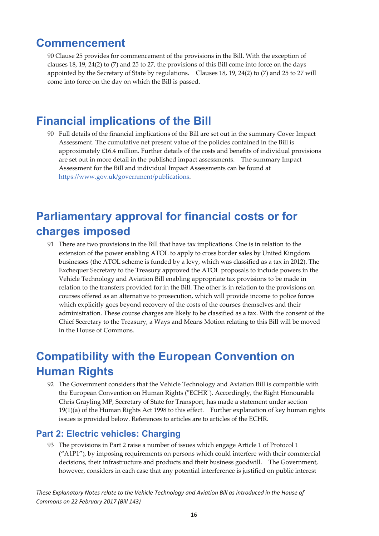### **Commencement**

90 Clause 25 provides for commencement of the provisions in the Bill. With the exception of clauses 18, 19, 24(2) to (7) and 25 to 27, the provisions of this Bill come into force on the days appointed by the Secretary of State by regulations. Clauses 18, 19, 24(2) to (7) and 25 to 27 will come into force on the day on which the Bill is passed.

## **Financial implications of the Bill**

90 Full details of the financial implications of the Bill are set out in the summary Cover Impact Assessment. The cumulative net present value of the policies contained in the Bill is approximately £16.4 million. Further details of the costs and benefits of individual provisions are set out in more detail in the published impact assessments. The summary Impact Assessment for the Bill and individual Impact Assessments can be found at https://www.gov.uk/government/publications.

## **Parliamentary approval for financial costs or for charges imposed**

91 There are two provisions in the Bill that have tax implications. One is in relation to the extension of the power enabling ATOL to apply to cross border sales by United Kingdom businesses (the ATOL scheme is funded by a levy, which was classified as a tax in 2012). The Exchequer Secretary to the Treasury approved the ATOL proposals to include powers in the Vehicle Technology and Aviation Bill enabling appropriate tax provisions to be made in relation to the transfers provided for in the Bill. The other is in relation to the provisions on courses offered as an alternative to prosecution, which will provide income to police forces which explicitly goes beyond recovery of the costs of the courses themselves and their administration. These course charges are likely to be classified as a tax. With the consent of the Chief Secretary to the Treasury, a Ways and Means Motion relating to this Bill will be moved in the House of Commons.

## **Compatibility with the European Convention on Human Rights**

92 The Government considers that the Vehicle Technology and Aviation Bill is compatible with the European Convention on Human Rights ("ECHR"). Accordingly, the Right Honourable Chris Grayling MP, Secretary of State for Transport, has made a statement under section  $19(1)(a)$  of the Human Rights Act 1998 to this effect. Further explanation of key human rights issues is provided below. References to articles are to articles of the ECHR.

#### **Part 2: Electric vehicles: Charging**

93 The provisions in Part 2 raise a number of issues which engage Article 1 of Protocol 1 ("A1P1"), by imposing requirements on persons which could interfere with their commercial decisions, their infrastructure and products and their business goodwill. The Government, however, considers in each case that any potential interference is justified on public interest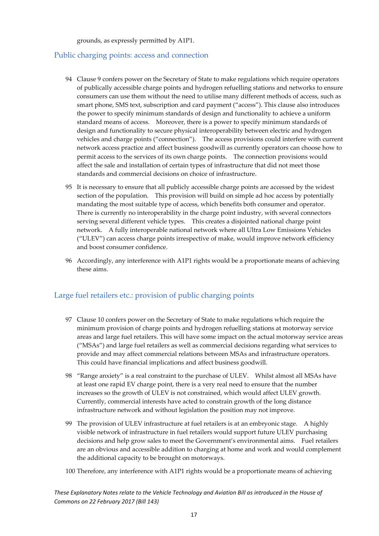grounds, as expressly permitted by A1P1.

#### Public charging points: access and connection

- 94 Clause 9 confers power on the Secretary of State to make regulations which require operators of publically accessible charge points and hydrogen refuelling stations and networks to ensure consumers can use them without the need to utilise many different methods of access, such as smart phone, SMS text, subscription and card payment ("access"). This clause also introduces the power to specify minimum standards of design and functionality to achieve a uniform standard means of access. Moreover, there is a power to specify minimum standards of design and functionality to secure physical interoperability between electric and hydrogen vehicles and charge points ("connection"). The access provisions could interfere with current network access practice and affect business goodwill as currently operators can choose how to permit access to the services of its own charge points. The connection provisions would affect the sale and installation of certain types of infrastructure that did not meet those standards and commercial decisions on choice of infrastructure.
- 95 It is necessary to ensure that all publicly accessible charge points are accessed by the widest section of the population. This provision will build on simple ad hoc access by potentially mandating the most suitable type of access, which benefits both consumer and operator. There is currently no interoperability in the charge point industry, with several connectors serving several different vehicle types. This creates a disjointed national charge point network. A fully interoperable national network where all Ultra Low Emissions Vehicles ("ULEV") can access charge points irrespective of make, would improve network efficiency and boost consumer confidence.
- 96 Accordingly, any interference with A1P1 rights would be a proportionate means of achieving these aims.

#### Large fuel retailers etc.: provision of public charging points

- 97 Clause 10 confers power on the Secretary of State to make regulations which require the minimum provision of charge points and hydrogen refuelling stations at motorway service areas and large fuel retailers. This will have some impact on the actual motorway service areas ("MSAs") and large fuel retailers as well as commercial decisions regarding what services to provide and may affect commercial relations between MSAs and infrastructure operators. This could have financial implications and affect business goodwill.
- 98 "Range anxiety" is a real constraint to the purchase of ULEV. Whilst almost all MSAs have at least one rapid EV charge point, there is a very real need to ensure that the number increases so the growth of ULEV is not constrained, which would affect ULEV growth. Currently, commercial interests have acted to constrain growth of the long distance infrastructure network and without legislation the position may not improve.
- 99 The provision of ULEV infrastructure at fuel retailers is at an embryonic stage. A highly visible network of infrastructure in fuel retailers would support future ULEV purchasing decisions and help grow sales to meet the Government's environmental aims. Fuel retailers are an obvious and accessible addition to charging at home and work and would complement the additional capacity to be brought on motorways.
- 100 Therefore, any interference with A1P1 rights would be a proportionate means of achieving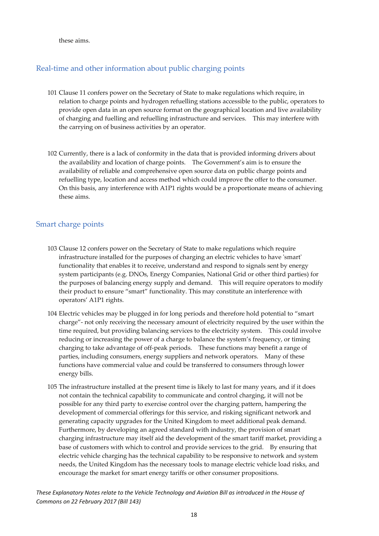these aims.

#### Real-time and other information about public charging points

- 101 Clause 11 confers power on the Secretary of State to make regulations which require, in relation to charge points and hydrogen refuelling stations accessible to the public, operators to provide open data in an open source format on the geographical location and live availability of charging and fuelling and refuelling infrastructure and services. This may interfere with the carrying on of business activities by an operator.
- 102 Currently, there is a lack of conformity in the data that is provided informing drivers about the availability and location of charge points. The Government's aim is to ensure the availability of reliable and comprehensive open source data on public charge points and refuelling type, location and access method which could improve the offer to the consumer. On this basis, any interference with A1P1 rights would be a proportionate means of achieving these aims.

#### Smart charge points

- 103 Clause 12 confers power on the Secretary of State to make regulations which require infrastructure installed for the purposes of charging an electric vehicles to have 'smart' functionality that enables it to receive, understand and respond to signals sent by energy system participants (e.g. DNOs, Energy Companies, National Grid or other third parties) for the purposes of balancing energy supply and demand. This will require operators to modify their product to ensure "smart" functionality. This may constitute an interference with operators' A1P1 rights.
- 104 Electric vehicles may be plugged in for long periods and therefore hold potential to "smart charge"‐ not only receiving the necessary amount of electricity required by the user within the time required, but providing balancing services to the electricity system. This could involve reducing or increasing the power of a charge to balance the system's frequency, or timing charging to take advantage of off‐peak periods. These functions may benefit a range of parties, including consumers, energy suppliers and network operators. Many of these functions have commercial value and could be transferred to consumers through lower energy bills.
- 105 The infrastructure installed at the present time is likely to last for many years, and if it does not contain the technical capability to communicate and control charging, it will not be possible for any third party to exercise control over the charging pattern, hampering the development of commercial offerings for this service, and risking significant network and generating capacity upgrades for the United Kingdom to meet additional peak demand. Furthermore, by developing an agreed standard with industry, the provision of smart charging infrastructure may itself aid the development of the smart tariff market, providing a base of customers with which to control and provide services to the grid. By ensuring that electric vehicle charging has the technical capability to be responsive to network and system needs, the United Kingdom has the necessary tools to manage electric vehicle load risks, and encourage the market for smart energy tariffs or other consumer propositions.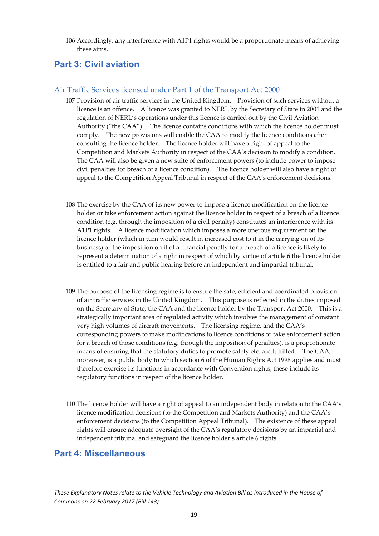106 Accordingly, any interference with A1P1 rights would be a proportionate means of achieving these aims.

#### **Part 3: Civil aviation**

#### Air Traffic Services licensed under Part 1 of the Transport Act 2000

- 107 Provision of air traffic services in the United Kingdom. Provision of such services without a licence is an offence. A licence was granted to NERL by the Secretary of State in 2001 and the regulation of NERL's operations under this licence is carried out by the Civil Aviation Authority ("the CAA"). The licence contains conditions with which the licence holder must comply. The new provisions will enable the CAA to modify the licence conditions after consulting the licence holder. The licence holder will have a right of appeal to the Competition and Markets Authority in respect of the CAA's decision to modify a condition. The CAA will also be given a new suite of enforcement powers (to include power to impose civil penalties for breach of a licence condition). The licence holder will also have a right of appeal to the Competition Appeal Tribunal in respect of the CAA's enforcement decisions.
- 108 The exercise by the CAA of its new power to impose a licence modification on the licence holder or take enforcement action against the licence holder in respect of a breach of a licence condition (e.g. through the imposition of a civil penalty) constitutes an interference with its A1P1 rights. A licence modification which imposes a more onerous requirement on the licence holder (which in turn would result in increased cost to it in the carrying on of its business) or the imposition on it of a financial penalty for a breach of a licence is likely to represent a determination of a right in respect of which by virtue of article 6 the licence holder is entitled to a fair and public hearing before an independent and impartial tribunal.
- 109 The purpose of the licensing regime is to ensure the safe, efficient and coordinated provision of air traffic services in the United Kingdom. This purpose is reflected in the duties imposed on the Secretary of State, the CAA and the licence holder by the Transport Act 2000. This is a strategically important area of regulated activity which involves the management of constant very high volumes of aircraft movements. The licensing regime, and the CAA's corresponding powers to make modifications to licence conditions or take enforcement action for a breach of those conditions (e.g. through the imposition of penalties), is a proportionate means of ensuring that the statutory duties to promote safety etc. are fulfilled. The CAA, moreover, is a public body to which section 6 of the Human Rights Act 1998 applies and must therefore exercise its functions in accordance with Convention rights; these include its regulatory functions in respect of the licence holder.
- 110 The licence holder will have a right of appeal to an independent body in relation to the CAA's licence modification decisions (to the Competition and Markets Authority) and the CAA's enforcement decisions (to the Competition Appeal Tribunal). The existence of these appeal rights will ensure adequate oversight of the CAA's regulatory decisions by an impartial and independent tribunal and safeguard the licence holder's article 6 rights.

#### **Part 4: Miscellaneous**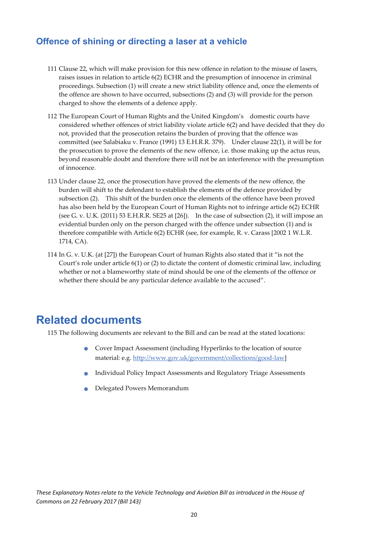#### **Offence of shining or directing a laser at a vehicle**

- 111 Clause 22, which will make provision for this new offence in relation to the misuse of lasers, raises issues in relation to article 6(2) ECHR and the presumption of innocence in criminal proceedings. Subsection (1) will create a new strict liability offence and, once the elements of the offence are shown to have occurred, subsections (2) and (3) will provide for the person charged to show the elements of a defence apply.
- 112 The European Court of Human Rights and the United Kingdom's domestic courts have considered whether offences of strict liability violate article 6(2) and have decided that they do not, provided that the prosecution retains the burden of proving that the offence was committed (see Salabiaku v. France (1991) 13 E.H.R.R. 379). Under clause 22(1), it will be for the prosecution to prove the elements of the new offence, i.e. those making up the actus reus, beyond reasonable doubt and therefore there will not be an interference with the presumption of innocence.
- 113 Under clause 22, once the prosecution have proved the elements of the new offence, the burden will shift to the defendant to establish the elements of the defence provided by subsection (2). This shift of the burden once the elements of the offence have been proved has also been held by the European Court of Human Rights not to infringe article 6(2) ECHR (see G. v. U.K. (2011) 53 E.H.R.R. SE25 at [26]). In the case of subsection (2), it will impose an evidential burden only on the person charged with the offence under subsection (1) and is therefore compatible with Article 6(2) ECHR (see, for example, R. v. Carass [2002 1 W.L.R. 1714, CA).
- 114 In G. v. U.K. (at [27]) the European Court of human Rights also stated that it "is not the Court's role under article 6(1) or (2) to dictate the content of domestic criminal law, including whether or not a blameworthy state of mind should be one of the elements of the offence or whether there should be any particular defence available to the accused".

## **Related documents**

115 The following documents are relevant to the Bill and can be read at the stated locations:

- Cover Impact Assessment (including Hyperlinks to the location of source material: e.g. http://www.gov.uk/government/collections/good‐law]
- Individual Policy Impact Assessments and Regulatory Triage Assessments
- Delegated Powers Memorandum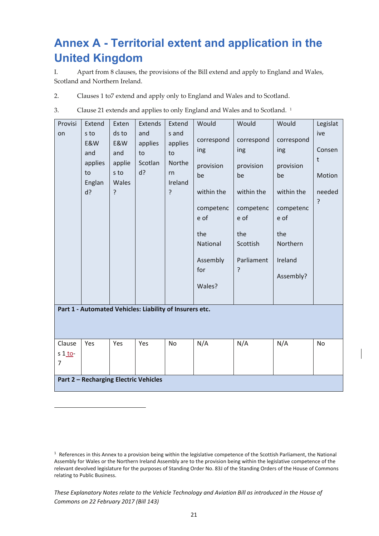## **Annex A - Territorial extent and application in the United Kingdom**

I. Apart from 8 clauses, the provisions of the Bill extend and apply to England and Wales, Scotland and Northern Ireland.

- 2. Clauses 1 to7 extend and apply only to England and Wales and to Scotland.
- 3. Clause 21 extends and applies to only England and Wales and to Scotland. <sup>1</sup>

| Provisi<br>on                                           | Extend<br>s to<br>E&W<br>and<br>applies | Exten<br>ds to<br>E&W<br>and<br>applie | Extends<br>and<br>applies<br>to<br>Scotlan | Extend<br>s and<br>applies<br>to<br>Northe | Would<br>correspond<br>ing<br>provision                                               | Would<br>correspond<br>ing<br>provision                                     | Would<br>correspond<br>ing<br>provision                                          | Legislat<br>ive<br>Consen<br>t |  |  |
|---------------------------------------------------------|-----------------------------------------|----------------------------------------|--------------------------------------------|--------------------------------------------|---------------------------------------------------------------------------------------|-----------------------------------------------------------------------------|----------------------------------------------------------------------------------|--------------------------------|--|--|
|                                                         | to<br>Englan<br>d?                      | s to<br>Wales<br>5.                    | d?                                         | rn<br>Ireland<br>?                         | be<br>within the<br>competenc<br>e of<br>the<br>National<br>Assembly<br>for<br>Wales? | be<br>within the<br>competenc<br>e of<br>the<br>Scottish<br>Parliament<br>? | be<br>within the<br>competenc<br>e of<br>the<br>Northern<br>Ireland<br>Assembly? | Motion<br>needed<br>?          |  |  |
| Part 1 - Automated Vehicles: Liability of Insurers etc. |                                         |                                        |                                            |                                            |                                                                                       |                                                                             |                                                                                  |                                |  |  |
| Clause<br>s 1 to-<br>$\overline{7}$                     | Yes                                     | Yes                                    | Yes                                        | <b>No</b>                                  | N/A                                                                                   | N/A                                                                         | N/A                                                                              | <b>No</b>                      |  |  |
| <b>Part 2 - Recharging Electric Vehicles</b>            |                                         |                                        |                                            |                                            |                                                                                       |                                                                             |                                                                                  |                                |  |  |

*These Explanatory Notes relate to the Vehicle Technology and Aviation Bill as introduced in the House of Commons on 22 February 2017 (Bill 143)* 

 $1$  References in this Annex to a provision being within the legislative competence of the Scottish Parliament, the National Assembly for Wales or the Northern Ireland Assembly are to the provision being within the legislative competence of the relevant devolved legislature for the purposes of Standing Order No. 83J of the Standing Orders of the House of Commons relating to Public Business.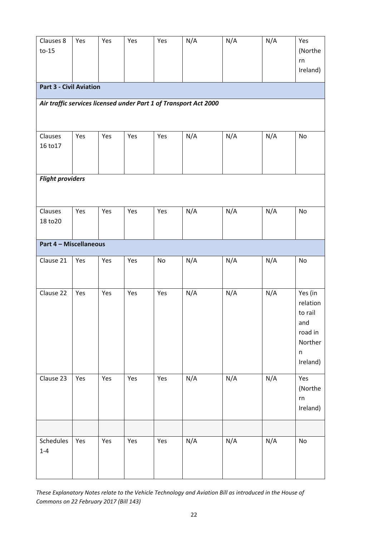| Clauses 8<br>$to-15$           | Yes | Yes | Yes | Yes | N/A                                                              | N/A | N/A | Yes<br>(Northe                                                                     |  |  |
|--------------------------------|-----|-----|-----|-----|------------------------------------------------------------------|-----|-----|------------------------------------------------------------------------------------|--|--|
|                                |     |     |     |     |                                                                  |     |     | rn<br>Ireland)                                                                     |  |  |
| <b>Part 3 - Civil Aviation</b> |     |     |     |     |                                                                  |     |     |                                                                                    |  |  |
|                                |     |     |     |     | Air traffic services licensed under Part 1 of Transport Act 2000 |     |     |                                                                                    |  |  |
| Clauses<br>16 to 17            | Yes | Yes | Yes | Yes | N/A                                                              | N/A | N/A | No                                                                                 |  |  |
| <b>Flight providers</b>        |     |     |     |     |                                                                  |     |     |                                                                                    |  |  |
| Clauses<br>18 to 20            | Yes | Yes | Yes | Yes | N/A                                                              | N/A | N/A | No                                                                                 |  |  |
| <b>Part 4 - Miscellaneous</b>  |     |     |     |     |                                                                  |     |     |                                                                                    |  |  |
| Clause 21                      | Yes | Yes | Yes | No  | N/A                                                              | N/A | N/A | No                                                                                 |  |  |
| Clause 22                      | Yes | Yes | Yes | Yes | N/A                                                              | N/A | N/A | Yes (in<br>relation<br>to rail<br>and<br>road in<br>Norther<br>$\sf n$<br>Ireland) |  |  |
| Clause 23                      | Yes | Yes | Yes | Yes | N/A                                                              | N/A | N/A | Yes<br>(Northe<br>${\sf rn}$<br>Ireland)                                           |  |  |
| Schedules                      | Yes | Yes | Yes | Yes | N/A                                                              | N/A | N/A | No                                                                                 |  |  |
| $1 - 4$                        |     |     |     |     |                                                                  |     |     |                                                                                    |  |  |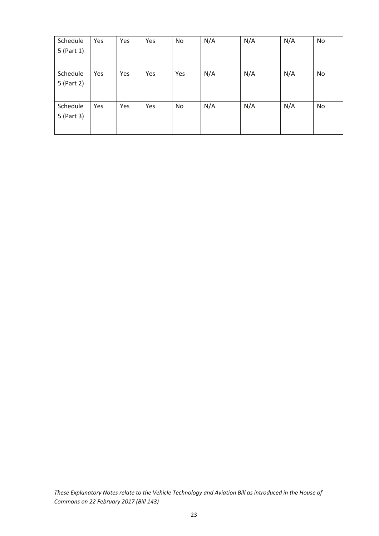| Schedule   | Yes | Yes | Yes | <b>No</b> | N/A | N/A | N/A | No |
|------------|-----|-----|-----|-----------|-----|-----|-----|----|
| 5 (Part 1) |     |     |     |           |     |     |     |    |
|            |     |     |     |           |     |     |     |    |
| Schedule   | Yes | Yes | Yes | Yes       | N/A | N/A | N/A | No |
| 5 (Part 2) |     |     |     |           |     |     |     |    |
|            |     |     |     |           |     |     |     |    |
| Schedule   | Yes | Yes | Yes | No        | N/A | N/A | N/A | No |
| 5 (Part 3) |     |     |     |           |     |     |     |    |
|            |     |     |     |           |     |     |     |    |